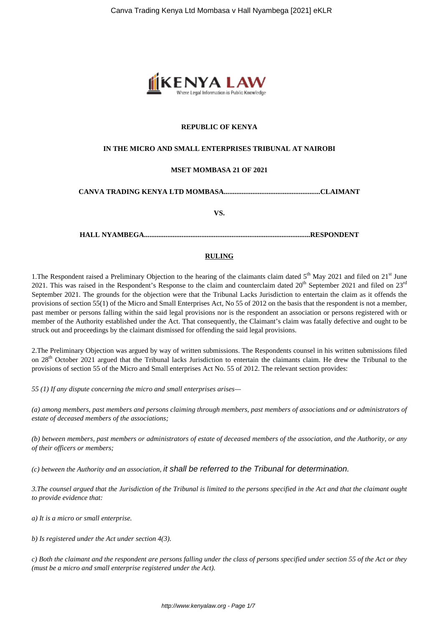

### **REPUBLIC OF KENYA**

#### **IN THE MICRO AND SMALL ENTERPRISES TRIBUNAL AT NAIROBI**

#### **MSET MOMBASA 21 OF 2021**

**CANVA TRADING KENYA LTD MOMBASA......................................................CLAIMANT**

**VS.**

**HALL NYAMBEGA.............................................................................................RESPONDENT**

#### **RULING**

1. The Respondent raised a Preliminary Objection to the hearing of the claimants claim dated  $5<sup>th</sup>$  May 2021 and filed on 21<sup>st</sup> June 2021. This was raised in the Respondent's Response to the claim and counterclaim dated  $20<sup>th</sup>$  September 2021 and filed on  $23<sup>rd</sup>$ September 2021. The grounds for the objection were that the Tribunal Lacks Jurisdiction to entertain the claim as it offends the provisions of section 55(1) of the Micro and Small Enterprises Act, No 55 of 2012 on the basis that the respondent is not a member, past member or persons falling within the said legal provisions nor is the respondent an association or persons registered with or member of the Authority established under the Act. That consequently, the Claimant's claim was fatally defective and ought to be struck out and proceedings by the claimant dismissed for offending the said legal provisions.

2.The Preliminary Objection was argued by way of written submissions. The Respondents counsel in his written submissions filed on  $28<sup>th</sup>$  October 2021 argued that the Tribunal lacks Jurisdiction to entertain the claimants claim. He drew the Tribunal to the provisions of section 55 of the Micro and Small enterprises Act No. 55 of 2012. The relevant section provides:

*55 (1) If any dispute concerning the micro and small enterprises arises—* 

*(a) among members, past members and persons claiming through members, past members of associations and or administrators of estate of deceased members of the associations;* 

*(b) between members, past members or administrators of estate of deceased members of the association, and the Authority, or any of their officers or members;* 

*(c) between the Authority and an association,* it shall be referred to the Tribunal for determination.

*3.The counsel argued that the Jurisdiction of the Tribunal is limited to the persons specified in the Act and that the claimant ought to provide evidence that:*

*a) It is a micro or small enterprise.*

*b) Is registered under the Act under section 4(3).*

*c) Both the claimant and the respondent are persons falling under the class of persons specified under section 55 of the Act or they (must be a micro and small enterprise registered under the Act).*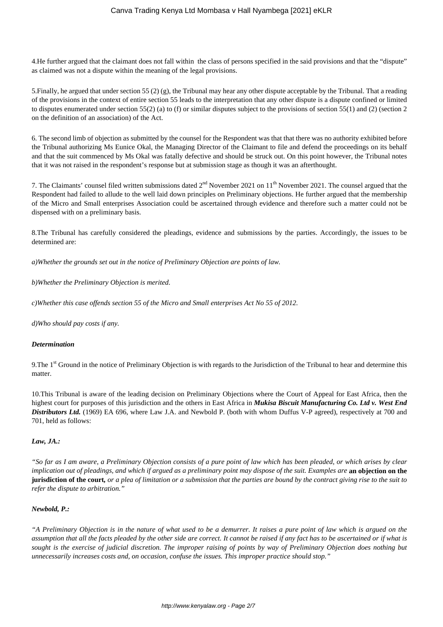4.He further argued that the claimant does not fall within the class of persons specified in the said provisions and that the "dispute" as claimed was not a dispute within the meaning of the legal provisions.

5.Finally, he argued that under section 55 (2) (g), the Tribunal may hear any other dispute acceptable by the Tribunal. That a reading of the provisions in the context of entire section 55 leads to the interpretation that any other dispute is a dispute confined or limited to disputes enumerated under section 55(2) (a) to (f) or similar disputes subject to the provisions of section 55(1) and (2) (section 2 on the definition of an association) of the Act.

6. The second limb of objection as submitted by the counsel for the Respondent was that that there was no authority exhibited before the Tribunal authorizing Ms Eunice Okal, the Managing Director of the Claimant to file and defend the proceedings on its behalf and that the suit commenced by Ms Okal was fatally defective and should be struck out. On this point however, the Tribunal notes that it was not raised in the respondent's response but at submission stage as though it was an afterthought.

7. The Claimants' counsel filed written submissions dated  $2<sup>nd</sup>$  November 2021 on  $11<sup>th</sup>$  November 2021. The counsel argued that the Respondent had failed to allude to the well laid down principles on Preliminary objections. He further argued that the membership of the Micro and Small enterprises Association could be ascertained through evidence and therefore such a matter could not be dispensed with on a preliminary basis.

8.The Tribunal has carefully considered the pleadings, evidence and submissions by the parties. Accordingly, the issues to be determined are:

*a)Whether the grounds set out in the notice of Preliminary Objection are points of law.*

*b)Whether the Preliminary Objection is merited.* 

*c)Whether this case offends section 55 of the Micro and Small enterprises Act No 55 of 2012.*

*d)Who should pay costs if any.*

### *Determination*

9. The 1<sup>st</sup> Ground in the notice of Preliminary Objection is with regards to the Jurisdiction of the Tribunal to hear and determine this matter.

10.This Tribunal is aware of the leading decision on Preliminary Objections where the Court of Appeal for East Africa, then the highest court for purposes of this jurisdiction and the others in East Africa in *Mukisa Biscuit Manufacturing Co. Ltd v. West End Distributors Ltd.* (1969) EA 696, where Law J.A. and Newbold P. (both with whom Duffus V-P agreed), respectively at 700 and 701, held as follows:

### *Law, JA.:*

*"So far as I am aware, a Preliminary Objection consists of a pure point of law which has been pleaded, or which arises by clear implication out of pleadings, and which if argued as a preliminary point may dispose of the suit. Examples are* an objection on the **jurisdiction of the court***, or a plea of limitation or a submission that the parties are bound by the contract giving rise to the suit to refer the dispute to arbitration."*

### *Newbold, P.:*

*"A Preliminary Objection is in the nature of what used to be a demurrer. It raises a pure point of law which is argued on the assumption that all the facts pleaded by the other side are correct. It cannot be raised if any fact has to be ascertained or if what is sought is the exercise of judicial discretion. The improper raising of points by way of Preliminary Objection does nothing but unnecessarily increases costs and, on occasion, confuse the issues. This improper practice should stop."*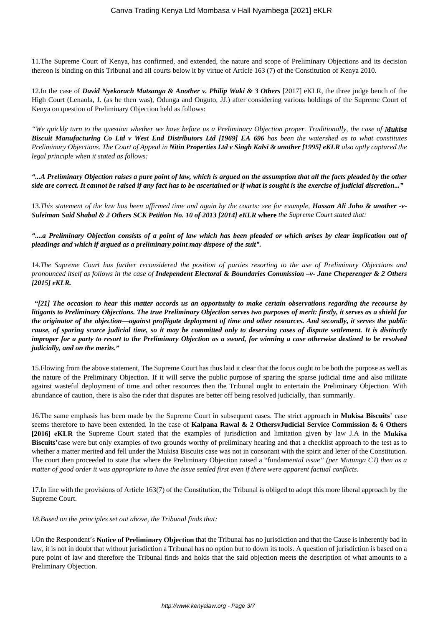11.The Supreme Court of Kenya, has confirmed, and extended, the nature and scope of Preliminary Objections and its decision thereon is binding on this Tribunal and all courts below it by virtue of Article 163 (7) of the Constitution of Kenya 2010.

12.In the case of *David Nyekorach Matsanga & Another v. Philip Waki & 3 Others* [2017] eKLR, the three judge bench of the High Court (Lenaola, J. (as he then was), Odunga and Onguto, JJ.) after considering various holdings of the Supreme Court of Kenya on question of Preliminary Objection held as follows:

*"We quickly turn to the question whether we have before us a Preliminary Objection proper. Traditionally, the case of Mukisa* **Biscuit Manufacturing Co Ltd v West End Distributors Ltd [1969] EA 696** has been the watershed as to what constitutes *Preliminary Objections. The Court of Appeal in Nitin Properties Ltd v Singh Kalsi & another [1995] eKLR also aptly captured the legal principle when it stated as follows:*

*"...A Preliminary Objection raises a pure point of law, which is argued on the assumption that all the facts pleaded by the other side are correct. It cannot be raised if any fact has to be ascertained or if what is sought is the exercise of judicial discretion..."*

13.*This statement of the law has been affirmed time and again by the courts: see for example, Hassan Ali Joho & another -v-Suleiman Said Shabal & 2 Others SCK Petition No. 10 of 2013 [2014] eKLR* **where** *the Supreme Court stated that:*

*"....a Preliminary Objection consists of a point of law which has been pleaded or which arises by clear implication out of pleadings and which if argued as a preliminary point may dispose of the suit".*

14.*The Supreme Court has further reconsidered the position of parties resorting to the use of Preliminary Objections and pronounced itself as follows in the case of Independent Electoral & Boundaries Commission –v- Jane Cheperenger & 2 Others [2015] eKLR.*

*"[21] The occasion to hear this matter accords us an opportunity to make certain observations regarding the recourse by litigants to Preliminary Objections. The true Preliminary Objection serves two purposes of merit: firstly, it serves as a shield for the originator of the objection—against profligate deployment of time and other resources. And secondly, it serves the public cause, of sparing scarce judicial time, so it may be committed only to deserving cases of dispute settlement. It is distinctly improper for a party to resort to the Preliminary Objection as a sword, for winning a case otherwise destined to be resolved judicially, and on the merits."*

15.Flowing from the above statement, The Supreme Court has thus laid it clear that the focus ought to be both the purpose as well as the nature of the Preliminary Objection. If it will serve the public purpose of sparing the sparse judicial time and also militate against wasteful deployment of time and other resources then the Tribunal ought to entertain the Preliminary Objection. With abundance of caution, there is also the rider that disputes are better off being resolved judicially, than summarily.

*1*6.The same emphasis has been made by the Supreme Court in subsequent cases. The strict approach in **Mukisa Biscuits**' case seems therefore to have been extended. In the case of **Kalpana Rawal & 2 OthersvJudicial Service Commission & 6 Others [2016] eKLR** the Supreme Court stated that the examples of jurisdiction and limitation given by law J.A in the **Mukisa Biscuits'**case were but only examples of two grounds worthy of preliminary hearing and that a checklist approach to the test as to whether a matter merited and fell under the Mukisa Biscuits case was not in consonant with the spirit and letter of the Constitution. The court then proceeded to state that where the Preliminary Objection raised a "fundam*ental issue" (per Mutunga CJ) then as a matter of good order it was appropriate to have the issue settled first even if there were apparent factual conflicts.*

17.In line with the provisions of Article 163(7) of the Constitution, the Tribunal is obliged to adopt this more liberal approach by the Supreme Court.

*18.Based on the principles set out above, the Tribunal finds that:*

i.On the Respondent's **Notice of Preliminary Objection** that the Tribunal has no jurisdiction and that the Cause is inherently bad in law, it is not in doubt that without jurisdiction a Tribunal has no option but to down its tools. A question of jurisdiction is based on a pure point of law and therefore the Tribunal finds and holds that the said objection meets the description of what amounts to a Preliminary Objection.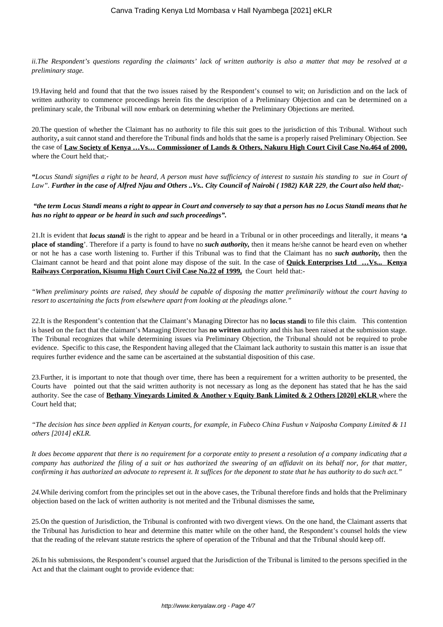*ii.The Respondent's questions regarding the claimants' lack of written authority is also a matter that may be resolved at a preliminary stage.* 

19.Having held and found that that the two issues raised by the Respondent's counsel to wit; on Jurisdiction and on the lack of written authority to commence proceedings herein fits the description of a Preliminary Objection and can be determined on a preliminary scale, the Tribunal will now embark on determining whether the Preliminary Objections are merited.

20.The question of whether the Claimant has no authority to file this suit goes to the jurisdiction of this Tribunal. Without such authority**,** a suit cannot stand and therefore the Tribunal finds and holds that the same is a properly raised Preliminary Objection. See the case of **Law Society of Kenya …Vs… Commissioner of Lands & Others, Nakuru High Court Civil Case No.464 of 2000,** where the Court held that;-

*"Locus Standi signifies a right to be heard, A person must have sufficiency of interest to sustain his standing to sue in Court of Law". Further in the case of Alfred Njau and Others ..Vs.. City Council of Nairobi ( 1982) KAR 229, the Court also held that;-*

*"the term Locus Standi means a right to appear in Court and conversely to say that a person has no Locus Standi means that he has no right to appear or be heard in such and such proceedings".*

21.It is evident that *locus standi* is the right to appear and be heard in a Tribunal or in other proceedings and literally, it means **'a place of standing**'. Therefore if a party is found to have no *such authority,* then it means he/she cannot be heard even on whether or not he has a case worth listening to. Further if this Tribunal was to find that the Claimant has no *such authority,* then the Claimant cannot be heard and that point alone may dispose of the suit. In the case of **Quick Enterprises Ltd …Vs... Kenya Railways Corporation, Kisumu High Court Civil Case No.22 of 1999,** the Court held that:-

*"When preliminary points are raised, they should be capable of disposing the matter preliminarily without the court having to resort to ascertaining the facts from elsewhere apart from looking at the pleadings alone."*

22.It is the Respondent's contention that the Claimant's Managing Director has no **locus standi** to file this claim. This contention is based on the fact that the claimant's Managing Director has **no written** authority and this has been raised at the submission stage. The Tribunal recognizes that while determining issues via Preliminary Objection, the Tribunal should not be required to probe evidence. Specific to this case, the Respondent having alleged that the Claimant lack authority to sustain this matter is an issue that requires further evidence and the same can be ascertained at the substantial disposition of this case.

23.Further, it is important to note that though over time, there has been a requirement for a written authority to be presented, the Courts have pointed out that the said written authority is not necessary as long as the deponent has stated that he has the said authority. See the case of **Bethany Vineyards Limited & Another v Equity Bank Limited & 2 Others [2020] eKLR** where the Court held that;

*"The decision has since been applied in Kenyan courts, for example, in Fubeco China Fushun v Naiposha Company Limited & 11 others [2014] eKLR.*

*It does become apparent that there is no requirement for a corporate entity to present a resolution of a company indicating that a company has authorized the filing of a suit or has authorized the swearing of an affidavit on its behalf nor, for that matter, confirming it has authorized an advocate to represent it. It suffices for the deponent to state that he has authority to do such act."*

*24.*While deriving comfort from the principles set out in the above cases, the Tribunal therefore finds and holds that the Preliminary objection based on the lack of written authority is not merited and the Tribunal dismisses the same*.*

25.On the question of Jurisdiction, the Tribunal is confronted with two divergent views. On the one hand, the Claimant asserts that the Tribunal has Jurisdiction to hear and determine this matter while on the other hand, the Respondent's counsel holds the view that the reading of the relevant statute restricts the sphere of operation of the Tribunal and that the Tribunal should keep off.

26.In his submissions, the Respondent's counsel argued that the Jurisdiction of the Tribunal is limited to the persons specified in the Act and that the claimant ought to provide evidence that: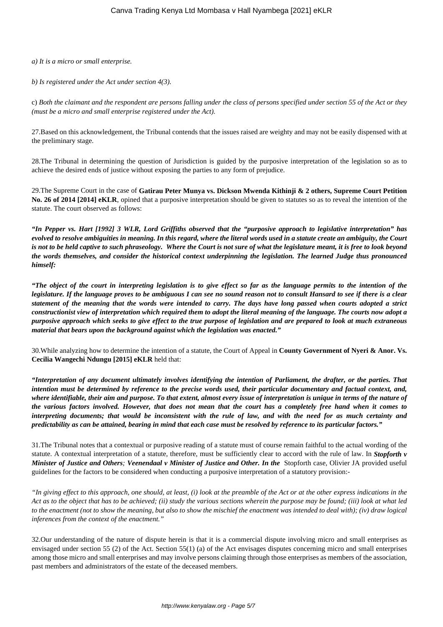*a) It is a micro or small enterprise.*

*b) Is registered under the Act under section 4(3).*

c) *Both the claimant and the respondent are persons falling under the class of persons specified under section 55 of the Act or they (must be a micro and small enterprise registered under the Act).*

27.Based on this acknowledgement, the Tribunal contends that the issues raised are weighty and may not be easily dispensed with at the preliminary stage.

28.The Tribunal in determining the question of Jurisdiction is guided by the purposive interpretation of the legislation so as to achieve the desired ends of justice without exposing the parties to any form of prejudice.

29.The Supreme Court in the case of **Gatirau Peter Munya vs. Dickson Mwenda Kithinji & 2 others, Supreme Court Petition** No. 26 of 2014 [2014] eKLR, opined that a purposive interpretation should be given to statutes so as to reveal the intention of the statute. The court observed as follows:

*"In Pepper vs. Hart [1992] 3 WLR, Lord Griffiths observed that the "purposive approach to legislative interpretation" has evolved to resolve ambiguities in meaning. In this regard, where the literal words used in a statute create an ambiguity, the Court is not to be held captive to such phraseology. Where the Court is not sure of what the legislature meant, it is free to look beyond the words themselves, and consider the historical context underpinning the legislation. The learned Judge thus pronounced himself:*

*"The object of the court in interpreting legislation is to give effect so far as the language permits to the intention of the legislature. If the language proves to be ambiguous I can see no sound reason not to consult Hansard to see if there is a clear statement of the meaning that the words were intended to carry. The days have long passed when courts adopted a strict constructionist view of interpretation which required them to adopt the literal meaning of the language. The courts now adopt a purposive approach which seeks to give effect to the true purpose of legislation and are prepared to look at much extraneous material that bears upon the background against which the legislation was enacted."*

30.While analyzing how to determine the intention of a statute, the Court of Appeal in **County Government of Nyeri & Anor. Vs. Cecilia Wangechi Ndungu [2015] eKLR** held that:

*"Interpretation of any document ultimately involves identifying the intention of Parliament, the drafter, or the parties. That intention must be determined by reference to the precise words used, their particular documentary and factual context, and, where identifiable, their aim and purpose. To that extent, almost every issue of interpretation is unique in terms of the nature of the various factors involved. However, that does not mean that the court has a completely free hand when it comes to interpreting documents; that would be inconsistent with the rule of law, and with the need for as much certainty and predictability as can be attained, bearing in mind that each case must be resolved by reference to its particular factors."*

31.The Tribunal notes that a contextual or purposive reading of a statute must of course remain faithful to the actual wording of the statute. A contextual interpretation of a statute, therefore, must be sufficiently clear to accord with the rule of law. In *Stopforth v Minister of Justice and Others; Veenendaal v Minister of Justice and Other. In the* Stopforth case, Olivier JA provided useful guidelines for the factors to be considered when conducting a purposive interpretation of a statutory provision:-

*"In giving effect to this approach, one should, at least, (i) look at the preamble of the Act or at the other express indications in the Act as to the object that has to be achieved; (ii) study the various sections wherein the purpose may be found; (iii) look at what led to the enactment (not to show the meaning, but also to show the mischief the enactment was intended to deal with); (iv) draw logical inferences from the context of the enactment."*

32.Our understanding of the nature of dispute herein is that it is a commercial dispute involving micro and small enterprises as envisaged under section 55 (2) of the Act. Section 55(1) (a) of the Act envisages disputes concerning micro and small enterprises among those micro and small enterprises and may involve persons claiming through those enterprises as members of the association, past members and administrators of the estate of the deceased members.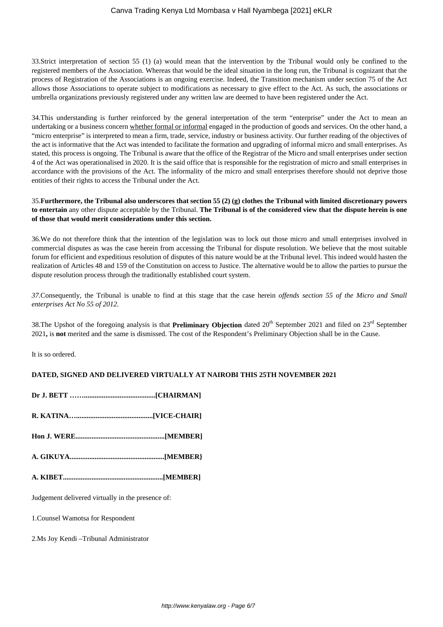33.Strict interpretation of section 55 (1) (a) would mean that the intervention by the Tribunal would only be confined to the registered members of the Association. Whereas that would be the ideal situation in the long run, the Tribunal is cognizant that the process of Registration of the Associations is an ongoing exercise. Indeed, the Transition mechanism under section 75 of the Act allows those Associations to operate subject to modifications as necessary to give effect to the Act. As such, the associations or umbrella organizations previously registered under any written law are deemed to have been registered under the Act.

34.This understanding is further reinforced by the general interpretation of the term "enterprise" under the Act to mean an undertaking or a business concern whether formal or informal engaged in the production of goods and services. On the other hand, a "micro enterprise" is interpreted to mean a firm, trade, service, industry or business activity. Our further reading of the objectives of the act is informative that the Act was intended to facilitate the formation and upgrading of informal micro and small enterprises. As stated, this process is ongoing. The Tribunal is aware that the office of the Registrar of the Micro and small enterprises under section 4 of the Act was operationalised in 2020. It is the said office that is responsible for the registration of micro and small enterprises in accordance with the provisions of the Act. The informality of the micro and small enterprises therefore should not deprive those entities of their rights to access the Tribunal under the Act.

## 35.**Furthermore, the Tribunal also underscores that section 55 (2) (g) clothes the Tribunal with limited discretionary powers to entertain** any other dispute acceptable by the Tribunal. **The Tribunal is of the considered view that the dispute herein is one of those that would merit considerations under this section.**

36.We do not therefore think that the intention of the legislation was to lock out those micro and small enterprises involved in commercial disputes as was the case herein from accessing the Tribunal for dispute resolution. We believe that the most suitable forum for efficient and expeditious resolution of disputes of this nature would be at the Tribunal level. This indeed would hasten the realization of Articles 48 and 159 of the Constitution on access to Justice. The alternative would be to allow the parties to pursue the dispute resolution process through the traditionally established court system.

*37.*Consequently, the Tribunal is unable to find at this stage that the case herein *offends section 55 of the Micro and Small enterprises Act No 55 of 2012.*

38.The Upshot of the foregoing analysis is that **Preliminary Objection** dated 20<sup>th</sup> September 2021 and filed on 23<sup>rd</sup> September 2021**,** is **not** merited and the same is dismissed. The cost of the Respondent's Preliminary Objection shall be in the Cause.

It is so ordered.

# **DATED, SIGNED AND DELIVERED VIRTUALLY AT NAIROBI THIS 25TH NOVEMBER 2021**

| Judgement delivered virtually in the presence of: |
|---------------------------------------------------|
| 1. Counsel Wamotsa for Respondent                 |
| 2. Ms Joy Kendi – Tribunal Administrator          |